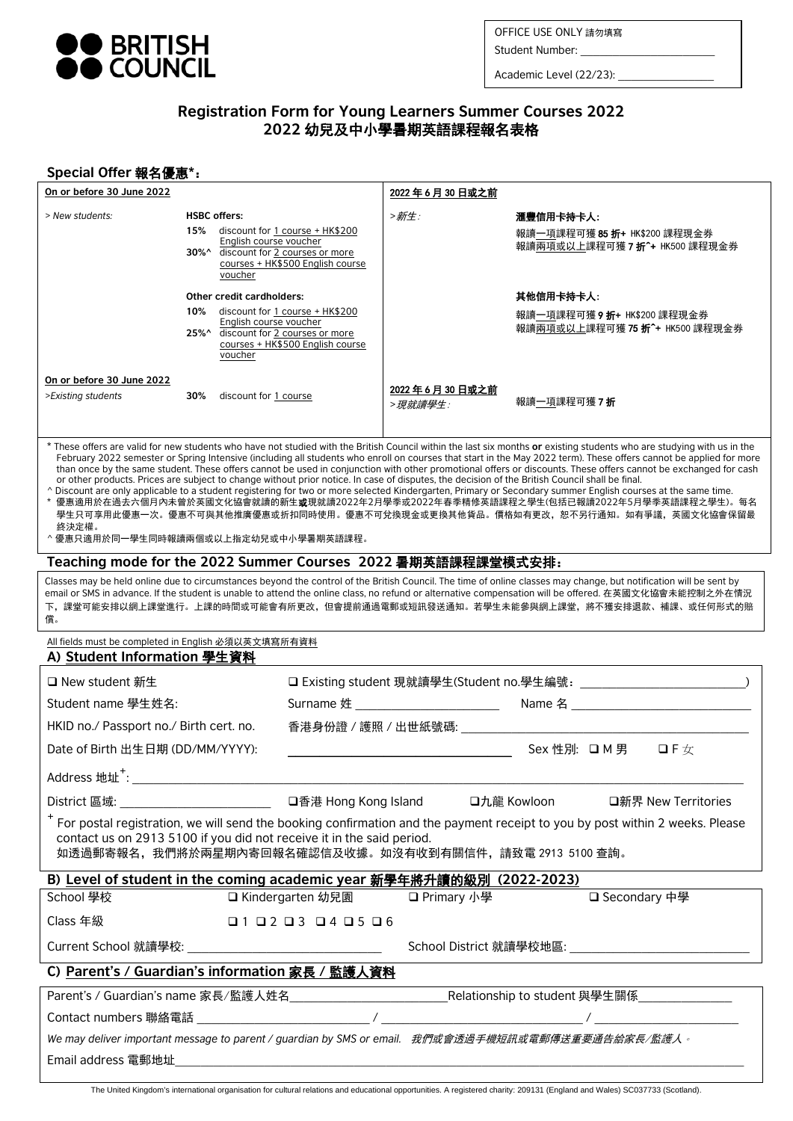

OFFICE USE ONLY 請勿填寫 OFFICE USE ONLY 請勿填寫

Student Number: \_\_\_\_\_\_\_\_\_ Student Number: \_\_\_\_\_\_\_\_\_\_\_\_\_\_\_\_\_\_\_\_\_

Academic Level (22/23):

# **Registration Form for Young Learners Summer Courses 2022 2022** 幼兒及中小學暑期英語課程報名表格

# **Special Offer** 報名優惠**\***:

| On or before 30 June 2022                                                                                                                                                                                                                                                                                                                                                                                                                                                                                                                                                                                                                                                                                                                                                                                                                                                                                                                                                                                                                                            |     |                                                                                                       |                                                                                                                | 2022年6月30日或之前                 |                                                                            |  |  |
|----------------------------------------------------------------------------------------------------------------------------------------------------------------------------------------------------------------------------------------------------------------------------------------------------------------------------------------------------------------------------------------------------------------------------------------------------------------------------------------------------------------------------------------------------------------------------------------------------------------------------------------------------------------------------------------------------------------------------------------------------------------------------------------------------------------------------------------------------------------------------------------------------------------------------------------------------------------------------------------------------------------------------------------------------------------------|-----|-------------------------------------------------------------------------------------------------------|----------------------------------------------------------------------------------------------------------------|-------------------------------|----------------------------------------------------------------------------|--|--|
| > New students:                                                                                                                                                                                                                                                                                                                                                                                                                                                                                                                                                                                                                                                                                                                                                                                                                                                                                                                                                                                                                                                      |     | <b>HSBC offers:</b><br>English course voucher<br>voucher                                              | 15% discount for 1 course + HK\$200<br>30%^ discount for 2 courses or more<br>courses + HK\$500 English course | >新生:                          | 滙豐信用卡持卡人:<br>報讀一項課程可獲 85 折+ HK\$200 課程現金券<br>報讀兩項或以上課程可獲 7 折^+ HK500 課程現金券 |  |  |
|                                                                                                                                                                                                                                                                                                                                                                                                                                                                                                                                                                                                                                                                                                                                                                                                                                                                                                                                                                                                                                                                      |     | Other credit cardholders:<br>English course voucher<br>25%^ discount for 2 courses or more<br>voucher | 10% discount for 1 course + HK\$200<br>courses + HK\$500 English course                                        |                               | 其他信用卡持卡人:<br>報讀一項課程可獲 9 折+ HK\$200 課程現金券<br>報讀兩項或以上課程可獲 75 折^+ HK500 課程現金券 |  |  |
| On or before 30 June 2022<br>>Existing students                                                                                                                                                                                                                                                                                                                                                                                                                                                                                                                                                                                                                                                                                                                                                                                                                                                                                                                                                                                                                      | 30% | discount for 1 course                                                                                 |                                                                                                                | 2022 年 6 月 30 日或之前<br>>現就讀學生: | 報讀一項課程可獲 <b>7 折</b>                                                        |  |  |
| * These offers are valid for new students who have not studied with the British Council within the last six months or existing students who are studying with us in the<br>February 2022 semester or Spring Intensive (including all students who enroll on courses that start in the May 2022 term). These offers cannot be applied for more<br>than once by the same student. These offers cannot be used in conjunction with other promotional offers or discounts. These offers cannot be exchanged for cash<br>or other products. Prices are subject to change without prior notice. In case of disputes, the decision of the British Council shall be final.<br>^ Discount are only applicable to a student registering for two or more selected Kindergarten, Primary or Secondary summer English courses at the same time.<br>*  優惠適用於在過去六個月內未曾於英國文化協會就讀的新生 <b>或</b> 現就讀2022年2月學季或2022年春季精修英語課程之學生(包括已報讀2022年5月學季英語課程之學生)。每名<br>學生只可享用此優惠一次。優惠不可與其他推廣優惠或折扣同時使用。優惠不可兌換現金或更換其他貨品。價格如有更改,恕不另行通知。如有爭議,英國文化協會保留最<br>終決定權。<br>^ 優惠只適用於同一學生同時報讀兩個或以上指定幼兒或中小學暑期英語課程。 |     |                                                                                                       |                                                                                                                |                               |                                                                            |  |  |
| Teaching mode for the 2022 Summer Courses 2022 暑期英語課程課堂模式安排:                                                                                                                                                                                                                                                                                                                                                                                                                                                                                                                                                                                                                                                                                                                                                                                                                                                                                                                                                                                                         |     |                                                                                                       |                                                                                                                |                               |                                                                            |  |  |
| Classes may be held online due to circumstances beyond the control of the British Council. The time of online classes may change, but notification will be sent by<br>email or SMS in advance. If the student is unable to attend the online class, no refund or alternative compensation will be offered. 在英國文化協會未能控制之外在情況<br>下,課堂可能安排以網上課堂進行。上課的時間或可能會有所更改,但會提前通過電郵或短訊發送通知。若學生未能參與網上課堂,將不獲安排退款、補課、或任何形式的賠<br>償。                                                                                                                                                                                                                                                                                                                                                                                                                                                                                                                                                                                                                                                    |     |                                                                                                       |                                                                                                                |                               |                                                                            |  |  |
| All fields must be completed in English 必須以英文填寫所有資料<br>A) Student Information 學生資料                                                                                                                                                                                                                                                                                                                                                                                                                                                                                                                                                                                                                                                                                                                                                                                                                                                                                                                                                                                   |     |                                                                                                       |                                                                                                                |                               |                                                                            |  |  |
| □ New student 新生                                                                                                                                                                                                                                                                                                                                                                                                                                                                                                                                                                                                                                                                                                                                                                                                                                                                                                                                                                                                                                                     |     |                                                                                                       |                                                                                                                |                               |                                                                            |  |  |
| Student name 學生姓名:                                                                                                                                                                                                                                                                                                                                                                                                                                                                                                                                                                                                                                                                                                                                                                                                                                                                                                                                                                                                                                                   |     |                                                                                                       |                                                                                                                |                               |                                                                            |  |  |
| HKID no./ Passport no./ Birth cert. no.                                                                                                                                                                                                                                                                                                                                                                                                                                                                                                                                                                                                                                                                                                                                                                                                                                                                                                                                                                                                                              |     |                                                                                                       | 香港身份證 / 護照 / 出世紙號碼: _________                                                                                  |                               |                                                                            |  |  |
| Date of Birth 出生日期 (DD/MM/YYYY):<br>Sex 性別: ロ M 男 ロ F 女                                                                                                                                                                                                                                                                                                                                                                                                                                                                                                                                                                                                                                                                                                                                                                                                                                                                                                                                                                                                              |     |                                                                                                       |                                                                                                                |                               |                                                                            |  |  |
| Address 地址+:                                                                                                                                                                                                                                                                                                                                                                                                                                                                                                                                                                                                                                                                                                                                                                                                                                                                                                                                                                                                                                                         |     |                                                                                                       |                                                                                                                |                               |                                                                            |  |  |
|                                                                                                                                                                                                                                                                                                                                                                                                                                                                                                                                                                                                                                                                                                                                                                                                                                                                                                                                                                                                                                                                      |     |                                                                                                       |                                                                                                                |                               |                                                                            |  |  |
| <sup>+</sup> For postal registration, we will send the booking confirmation and the payment receipt to you by post within 2 weeks. Please<br>contact us on 2913 5100 if you did not receive it in the said period.<br>如透過郵寄報名,我們將於兩星期內寄回報名確認信及收據。如沒有收到有關信件,請致電 2913 5100 查詢。                                                                                                                                                                                                                                                                                                                                                                                                                                                                                                                                                                                                                                                                                                                                                                                         |     |                                                                                                       |                                                                                                                |                               |                                                                            |  |  |
| B) Level of student in the coming academic year 新學年將升讀的級別 (2022-2023)                                                                                                                                                                                                                                                                                                                                                                                                                                                                                                                                                                                                                                                                                                                                                                                                                                                                                                                                                                                                |     |                                                                                                       |                                                                                                                |                               |                                                                            |  |  |
| School 學校                                                                                                                                                                                                                                                                                                                                                                                                                                                                                                                                                                                                                                                                                                                                                                                                                                                                                                                                                                                                                                                            |     | □ Kindergarten 幼兒園                                                                                    | □ Primary 小學                                                                                                   | □ Secondary 中學                |                                                                            |  |  |
| Class 年級<br>$\Box$ 1 $\Box$ 2 $\Box$ 3 $\Box$ 4 $\Box$ 5 $\Box$ 6                                                                                                                                                                                                                                                                                                                                                                                                                                                                                                                                                                                                                                                                                                                                                                                                                                                                                                                                                                                                    |     |                                                                                                       |                                                                                                                |                               |                                                                            |  |  |
|                                                                                                                                                                                                                                                                                                                                                                                                                                                                                                                                                                                                                                                                                                                                                                                                                                                                                                                                                                                                                                                                      |     |                                                                                                       |                                                                                                                |                               |                                                                            |  |  |
| C) Parent's / Guardian's information 家長 / 監護人資料                                                                                                                                                                                                                                                                                                                                                                                                                                                                                                                                                                                                                                                                                                                                                                                                                                                                                                                                                                                                                      |     |                                                                                                       |                                                                                                                |                               |                                                                            |  |  |
|                                                                                                                                                                                                                                                                                                                                                                                                                                                                                                                                                                                                                                                                                                                                                                                                                                                                                                                                                                                                                                                                      |     |                                                                                                       |                                                                                                                |                               |                                                                            |  |  |
| We may deliver important message to parent / guardian by SMS or email. 我們或會透過手機短訊或電郵傳送重要通告給家長/監護人。                                                                                                                                                                                                                                                                                                                                                                                                                                                                                                                                                                                                                                                                                                                                                                                                                                                                                                                                                                   |     |                                                                                                       |                                                                                                                |                               |                                                                            |  |  |
|                                                                                                                                                                                                                                                                                                                                                                                                                                                                                                                                                                                                                                                                                                                                                                                                                                                                                                                                                                                                                                                                      |     |                                                                                                       |                                                                                                                |                               |                                                                            |  |  |
|                                                                                                                                                                                                                                                                                                                                                                                                                                                                                                                                                                                                                                                                                                                                                                                                                                                                                                                                                                                                                                                                      |     |                                                                                                       |                                                                                                                |                               |                                                                            |  |  |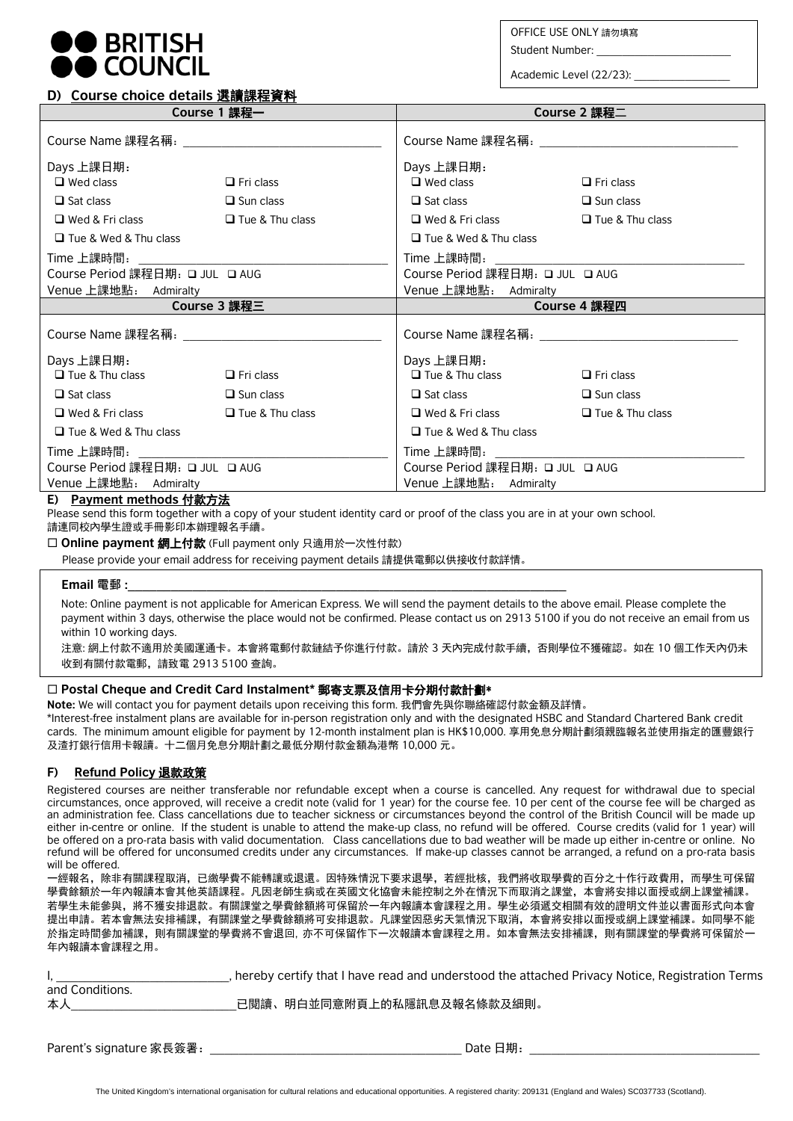

**D) Course choice details** 選讀課程資料

OFFICE USE ONLY 請勿填寫

Student Number:

Academic Level (22/23):

#### **Course 1** 課程一 **Course 2** 課程二 Course Name 課程名稱: Days 上課日期:  $\Box$  Wed class  $\Box$  Fri class  $\Box$  Sat class  $\Box$  Sun class  $\Box$  Wed & Fri class  $\Box$  Tue & Thu class □ Tue & Wed & Thu class Time 上課時間: Course Period 課程日期: □ JUL □ AUG Venue 上課地點: Admiralty Course Name 課程名稱: Days 上課日期:  $\Box$  Wed class  $\Box$  Fri class  $\Box$  Sat class  $\Box$  Sun class  $\Box$  Wed & Fri class  $\Box$  Tue & Thu class **□** Tue & Wed & Thu class Time 上課時間: Course Period 課程日期: JUL AUG Venue 上課地點: Admiralty **Course 3** 課程三 **Course 4** 課程四 Course Name 課程名稱: Days 上課日期:  $\Box$  Tue & Thu class  $\Box$  Fri class  $\Box$  Sat class  $\Box$  Sun class  $\Box$  Wed & Fri class  $\Box$  Tue & Thu class Tue & Wed & Thu class Time 上課時間: Course Period 課程日期: □ JUL □ AUG Venue 上課地點: Admiralty Course Name 課程名稱: Days 上課日期:  $\Box$  Tue & Thu class  $\Box$  Fri class  $\Box$  Sat class  $\Box$  Sun class  $\Box$  Wed & Fri class  $\Box$  Tue & Thu class Tue & Wed & Thu class Time 上課時間: Course Period 課程日期: □ JUL □ AUG Venue 上課地點: Admiralty

## **E) Payment methods** 付款方法

Please send this form together with a copy of your student identity card or proof of the class you are in at your own school. 請連同校內學生證或手冊影印本辦理報名手續。

□ Online payment 網上付款 (Full payment only 只適用於一次性付款)

Please provide your email address for receiving payment details 請提供電郵以供接收付款詳情。

### **Email** 電郵 :

Note: Online payment is not applicable for American Express. We will send the payment details to the above email. Please complete the payment within 3 days, otherwise the place would not be confirmed. Please contact us on 2913 5100 if you do not receive an email from us within 10 working days.

注意: 網上付款不適用於美國運通卡。本會將電郵付款鏈結予你進行付款。請於 3 天內完成付款手續,否則學位不獲確認。如在 10 個工作天內仍未 收到有關付款電郵,請致電 2913 5100 查詢。

## **Postal Cheque and Credit Card Instalment\*** 郵寄支票及信用卡分期付款計劃\*

**Note:** We will contact you for payment details upon receiving this form. 我們會先與你聯絡確認付款金額及詳情。

\*Interest-free instalment plans are available for in-person registration only and with the designated HSBC and Standard Chartered Bank credit cards. The minimum amount eligible for payment by 12-month instalment plan is HK\$10,000. 享用免息分期計劃須親臨報名並使用指定的匯豐銀行 及渣打銀行信用卡報讀。十二個月免息分期計劃之最低分期付款金額為港幣 10,000 元。

## **F) Refund Policy** 退款政策

Registered courses are neither transferable nor refundable except when a course is cancelled. Any request for withdrawal due to special circumstances, once approved, will receive a credit note (valid for 1 year) for the course fee. 10 per cent of the course fee will be charged as an administration fee. Class cancellations due to teacher sickness or circumstances beyond the control of the British Council will be made up either in-centre or online. If the student is unable to attend the make-up class, no refund will be offered. Course credits (valid for 1 year) will be offered on a pro-rata basis with valid documentation. Class cancellations due to bad weather will be made up either in-centre or online. No refund will be offered for unconsumed credits under any circumstances. If make-up classes cannot be arranged, a refund on a pro-rata basis will be offered.

一經報名,除非有關課程取消,已繳學費不能轉讓或退還。因特殊情況下要求退學,若經批核,我們將收取學費的百分之十作行政費用,而學生可保留 學費餘額於一年內報讀本會其他英語課程。凡因老師生病或在英國文化協會未能控制之外在情況下而取消之課堂,本會將安排以面授或網上課堂補課。 若學生未能參與,將不獲安排退款。有關課堂之學費餘額將可保留於一年內報讀本會課程之用。學生必須遞交相關有效的證明文件並以書面形式向本會 提出申請。若本會無法安排補課,有關課堂之學費餘額將可安排退款。凡課堂因惡劣天氣情況下取消,本會將安排以面授或網上課堂補課。如同學不能 於指定時間參加補課,則有關課堂的學費將不會退回, 亦不可保留作下一次報讀本會課程之用。如本會無法安排補課,則有關課堂的學費將可保留於一 年內報讀本會課程之用。

|                 | , hereby certify that I have read and understood the attached Privacy Notice, Registration Terms |
|-----------------|--------------------------------------------------------------------------------------------------|
| and Conditions. |                                                                                                  |
| 本人              | 已閱讀、明白並同意附頁上的私隱訊息及報名條款及細則。                                                                       |

Parent's signature 家長簽署:\_\_\_\_\_\_\_\_\_\_\_\_\_\_\_\_\_\_\_\_\_\_\_\_\_\_\_\_\_\_\_\_\_\_\_ Date 日期:\_\_\_\_\_\_\_\_\_\_\_\_\_\_\_\_\_\_\_\_\_\_\_\_\_\_\_\_\_\_\_\_